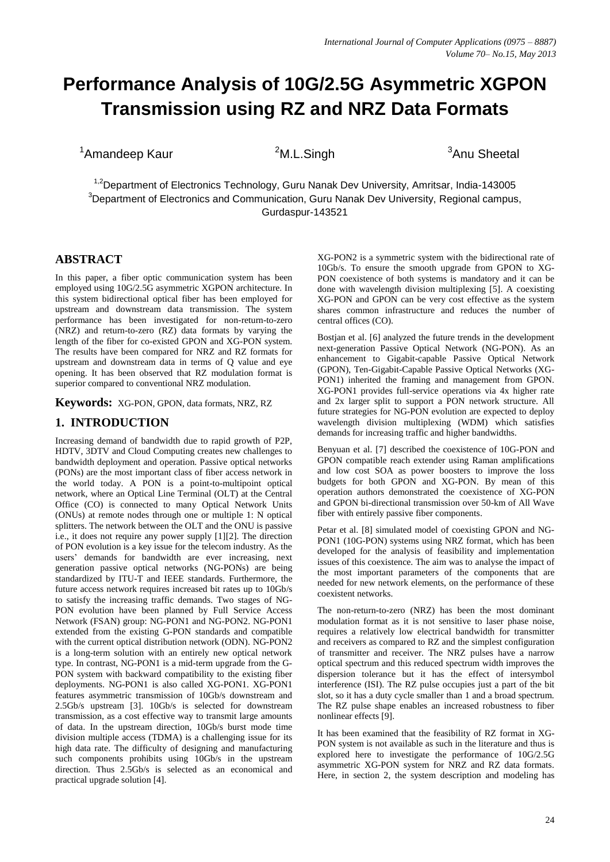# **Performance Analysis of 10G/2.5G Asymmetric XGPON Transmission using RZ and NRZ Data Formats**

 $1^3$ Amandeep Kaur  $3^2$ M.L.Singh  $3^3$ Anu Sheetal

<sup>1,2</sup>Department of Electronics Technology, Guru Nanak Dev University, Amritsar, India-143005  $3$ Department of Electronics and Communication, Guru Nanak Dev University, Regional campus, Gurdaspur-143521

# **ABSTRACT**

In this paper, a fiber optic communication system has been employed using 10G/2.5G asymmetric XGPON architecture. In this system bidirectional optical fiber has been employed for upstream and downstream data transmission. The system performance has been investigated for non-return-to-zero (NRZ) and return-to-zero (RZ) data formats by varying the length of the fiber for co-existed GPON and XG-PON system. The results have been compared for NRZ and RZ formats for upstream and downstream data in terms of Q value and eye opening. It has been observed that RZ modulation format is superior compared to conventional NRZ modulation.

**Keywords:** XG-PON, GPON, data formats, NRZ, RZ

## **1. INTRODUCTION**

Increasing demand of bandwidth due to rapid growth of P2P, HDTV, 3DTV and Cloud Computing creates new challenges to bandwidth deployment and operation. Passive optical networks (PONs) are the most important class of fiber access network in the world today. A PON is a point-to-multipoint optical network, where an Optical Line Terminal (OLT) at the Central Office (CO) is connected to many Optical Network Units (ONUs) at remote nodes through one or multiple 1: N optical splitters. The network between the OLT and the ONU is passive i.e., it does not require any power supply [1][2]. The direction of PON evolution is a key issue for the telecom industry. As the users' demands for bandwidth are ever increasing, next generation passive optical networks (NG-PONs) are being standardized by ITU-T and IEEE standards. Furthermore, the future access network requires increased bit rates up to 10Gb/s to satisfy the increasing traffic demands. Two stages of NG-PON evolution have been planned by Full Service Access Network (FSAN) group: NG-PON1 and NG-PON2. NG-PON1 extended from the existing G-PON standards and compatible with the current optical distribution network (ODN). NG-PON2 is a long-term solution with an entirely new optical network type. In contrast, NG-PON1 is a mid-term upgrade from the G-PON system with backward compatibility to the existing fiber deployments. NG-PON1 is also called XG-PON1. XG-PON1 features asymmetric transmission of 10Gb/s downstream and 2.5Gb/s upstream [3]. 10Gb/s is selected for downstream transmission, as a cost effective way to transmit large amounts of data. In the upstream direction, 10Gb/s burst mode time division multiple access (TDMA) is a challenging issue for its high data rate. The difficulty of designing and manufacturing such components prohibits using 10Gb/s in the upstream direction. Thus 2.5Gb/s is selected as an economical and practical upgrade solution [4].

XG-PON2 is a symmetric system with the bidirectional rate of 10Gb/s. To ensure the smooth upgrade from GPON to XG-PON coexistence of both systems is mandatory and it can be done with wavelength division multiplexing [5]. A coexisting XG-PON and GPON can be very cost effective as the system shares common infrastructure and reduces the number of central offices (CO).

Bostjan et al. [6] analyzed the future trends in the development next-generation Passive Optical Network (NG-PON). As an enhancement to Gigabit-capable Passive Optical Network (GPON), Ten-Gigabit-Capable Passive Optical Networks (XG-PON1) inherited the framing and management from GPON. XG-PON1 provides full-service operations via 4x higher rate and 2x larger split to support a PON network structure. All future strategies for NG-PON evolution are expected to deploy wavelength division multiplexing (WDM) which satisfies demands for increasing traffic and higher bandwidths.

Benyuan et al. [7] described the coexistence of 10G-PON and GPON compatible reach extender using Raman amplifications and low cost SOA as power boosters to improve the loss budgets for both GPON and XG-PON. By mean of this operation authors demonstrated the coexistence of XG-PON and GPON bi-directional transmission over 50-km of All Wave fiber with entirely passive fiber components.

Petar et al. [8] simulated model of coexisting GPON and NG-PON1 (10G-PON) systems using NRZ format, which has been developed for the analysis of feasibility and implementation issues of this coexistence. The aim was to analyse the impact of the most important parameters of the components that are needed for new network elements, on the performance of these coexistent networks.

The non-return-to-zero (NRZ) has been the most dominant modulation format as it is not sensitive to laser phase noise, requires a relatively low electrical bandwidth for transmitter and receivers as compared to RZ and the simplest configuration of transmitter and receiver. The NRZ pulses have a narrow optical spectrum and this reduced spectrum width improves the dispersion tolerance but it has the effect of intersymbol interference (ISI). The RZ pulse occupies just a part of the bit slot, so it has a duty cycle smaller than 1 and a broad spectrum. The RZ pulse shape enables an increased robustness to fiber nonlinear effects [9].

It has been examined that the feasibility of RZ format in XG-PON system is not available as such in the literature and thus is explored here to investigate the performance of 10G/2.5G asymmetric XG-PON system for NRZ and RZ data formats. Here, in section 2, the system description and modeling has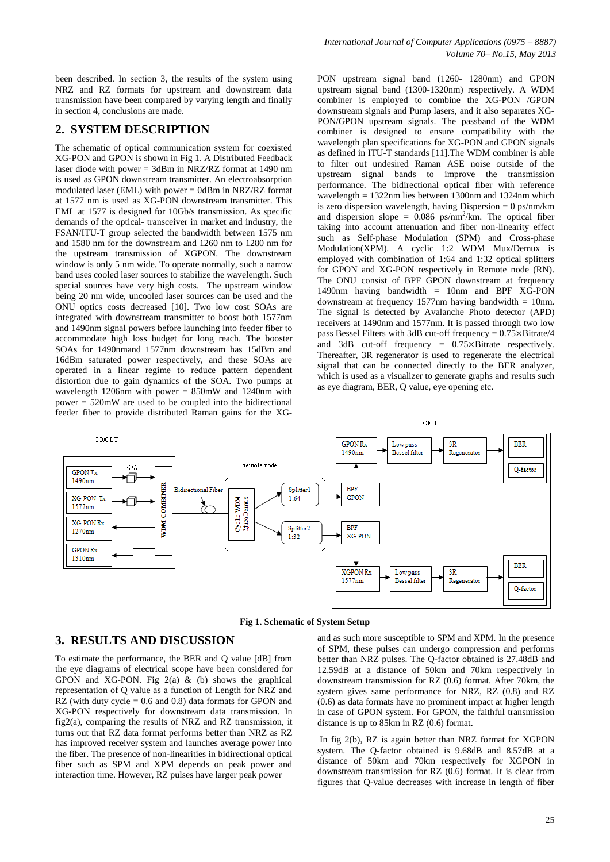been described. In section 3, the results of the system using NRZ and RZ formats for upstream and downstream data transmission have been compared by varying length and finally in section 4, conclusions are made.

#### **2. SYSTEM DESCRIPTION**

The schematic of optical communication system for coexisted XG-PON and GPON is shown in Fig 1. A Distributed Feedback laser diode with power = 3dBm in NRZ/RZ format at 1490 nm is used as GPON downstream transmitter. An electroabsorption modulated laser (EML) with power  $=$  0dBm in NRZ/RZ format at 1577 nm is used as XG-PON downstream transmitter. This EML at 1577 is designed for 10Gb/s transmission. As specific demands of the optical- transceiver in market and industry, the FSAN/ITU-T group selected the bandwidth between 1575 nm and 1580 nm for the downstream and 1260 nm to 1280 nm for the upstream transmission of XGPON. The downstream window is only 5 nm wide. To operate normally, such a narrow band uses cooled laser sources to stabilize the wavelength. Such special sources have very high costs. The upstream window being 20 nm wide, uncooled laser sources can be used and the ONU optics costs decreased [10]. Two low cost SOAs are integrated with downstream transmitter to boost both 1577nm and 1490nm signal powers before launching into feeder fiber to accommodate high loss budget for long reach. The booster SOAs for 1490nmand 1577nm downstream has 15dBm and 16dBm saturated power respectively, and these SOAs are operated in a linear regime to reduce pattern dependent distortion due to gain dynamics of the SOA. Two pumps at wavelength 1206nm with power =  $850$ mW and 1240nm with power = 520mW are used to be coupled into the bidirectional feeder fiber to provide distributed Raman gains for the XG-

PON upstream signal band (1260- 1280nm) and GPON upstream signal band (1300-1320nm) respectively. A WDM combiner is employed to combine the XG-PON /GPON downstream signals and Pump lasers, and it also separates XG-PON/GPON upstream signals. The passband of the WDM combiner is designed to ensure compatibility with the wavelength plan specifications for XG-PON and GPON signals as defined in ITU-T standards [11].The WDM combiner is able to filter out undesired Raman ASE noise outside of the upstream signal bands to improve the transmission performance. The bidirectional optical fiber with reference wavelength = 1322nm lies between 1300nm and 1324nm which is zero dispersion wavelength, having Dispersion  $= 0$  ps/nm/km and dispersion slope =  $0.086$  ps/nm<sup>2</sup>/km. The optical fiber taking into account attenuation and fiber non-linearity effect such as Self-phase Modulation (SPM) and Cross-phase Modulation(XPM). A cyclic 1:2 WDM Mux/Demux is employed with combination of 1:64 and 1:32 optical splitters for GPON and XG-PON respectively in Remote node (RN). The ONU consist of BPF GPON downstream at frequency 1490nm having bandwidth  $= 10$ nm and BPF XG-PON downstream at frequency 1577nm having bandwidth  $= 10$ nm. The signal is detected by Avalanche Photo detector (APD) receivers at 1490nm and 1577nm. It is passed through two low pass Bessel Filters with 3dB cut-off frequency =  $0.75 \times$ Bitrate/4 and  $3dB$  cut-off frequency =  $0.75 \times B$  itrate respectively. Thereafter, 3R regenerator is used to regenerate the electrical signal that can be connected directly to the BER analyzer, which is used as a visualizer to generate graphs and results such as eye diagram, BER, Q value, eye opening etc.



**Fig 1. Schematic of System Setup**

#### **3. RESULTS AND DISCUSSION**

To estimate the performance, the BER and Q value [dB] from the eye diagrams of electrical scope have been considered for GPON and XG-PON. Fig  $2(a)$  & (b) shows the graphical representation of Q value as a function of Length for NRZ and RZ (with duty cycle  $= 0.6$  and 0.8) data formats for GPON and XG-PON respectively for downstream data transmission. In fig2(a), comparing the results of NRZ and RZ transmission, it turns out that RZ data format performs better than NRZ as RZ has improved receiver system and launches average power into the fiber. The presence of non-linearities in bidirectional optical fiber such as SPM and XPM depends on peak power and interaction time. However, RZ pulses have larger peak power

and as such more susceptible to SPM and XPM. In the presence of SPM, these pulses can undergo compression and performs better than NRZ pulses. The Q-factor obtained is 27.48dB and 12.59dB at a distance of 50km and 70km respectively in downstream transmission for RZ (0.6) format. After 70km, the system gives same performance for NRZ, RZ (0.8) and RZ (0.6) as data formats have no prominent impact at higher length in case of GPON system. For GPON, the faithful transmission distance is up to 85km in RZ (0.6) format.

In fig 2(b), RZ is again better than NRZ format for XGPON system. The Q-factor obtained is 9.68dB and 8.57dB at a distance of 50km and 70km respectively for XGPON in downstream transmission for RZ (0.6) format. It is clear from figures that Q-value decreases with increase in length of fiber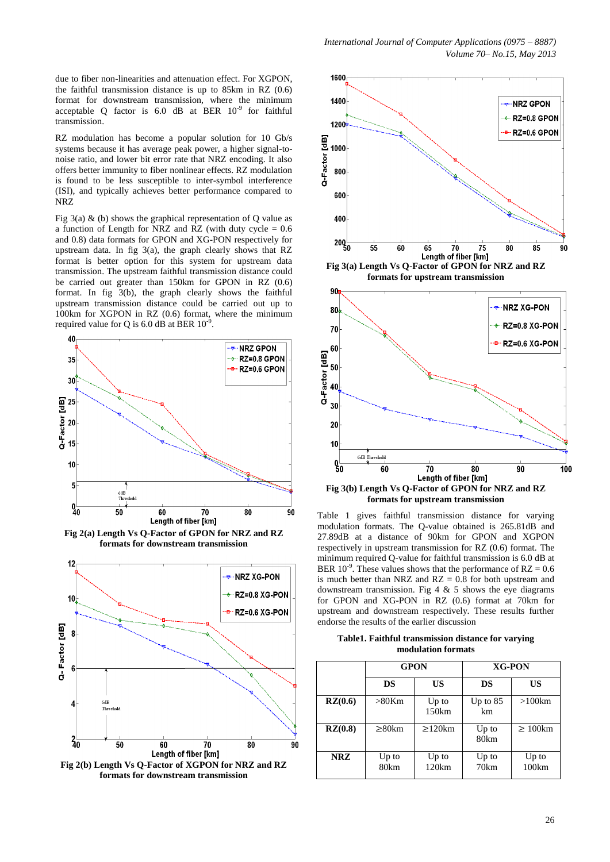due to fiber non-linearities and attenuation effect. For XGPON, the faithful transmission distance is up to 85km in RZ (0.6) format for downstream transmission, where the minimum acceptable Q factor is  $6.0$  dB at BER  $10^{-9}$  for faithful transmission.

RZ modulation has become a popular solution for 10 Gb/s systems because it has average peak power, a higher signal-tonoise ratio, and lower bit error rate that NRZ encoding. It also offers better immunity to fiber nonlinear effects. RZ modulation is found to be less susceptible to inter-symbol interference (ISI), and typically achieves better performance compared to NRZ

Fig  $3(a)$  & (b) shows the graphical representation of Q value as a function of Length for NRZ and RZ (with duty cycle  $= 0.6$ and 0.8) data formats for GPON and XG-PON respectively for upstream data. In fig 3(a), the graph clearly shows that RZ format is better option for this system for upstream data transmission. The upstream faithful transmission distance could be carried out greater than 150km for GPON in RZ (0.6) format. In fig 3(b), the graph clearly shows the faithful upstream transmission distance could be carried out up to 100km for XGPON in RZ (0.6) format, where the minimum required value for Q is 6.0 dB at BER  $10^{-9}$ .



**Fig 2(a) Length Vs Q-Factor of GPON for NRZ and RZ formats for downstream transmission**





Table 1 gives faithful transmission distance for varying modulation formats. The Q-value obtained is 265.81dB and 27.89dB at a distance of 90km for GPON and XGPON respectively in upstream transmission for RZ (0.6) format. The minimum required O-value for faithful transmission is 6.0 dB at BER 10<sup>-9</sup>. These values shows that the performance of RZ =  $0.6$ is much better than NRZ and  $RZ = 0.8$  for both upstream and downstream transmission. Fig  $4 \& 5$  shows the eye diagrams for GPON and XG-PON in RZ (0.6) format at 70km for upstream and downstream respectively. These results further endorse the results of the earlier discussion

**Table1. Faithful transmission distance for varying modulation formats**

|            | <b>GPON</b>   |                  | <b>XG-PON</b>    |                |
|------------|---------------|------------------|------------------|----------------|
|            | DS            | US               | DS               | US             |
| RZ(0.6)    | $>80$ Km      | $Up$ to<br>150km | Up to $85$<br>km | $>100$ km      |
| RZ(0.8)    | $\geq$ 80km   | $>120$ km        | $Up$ to<br>80km  | $>100$ km      |
| <b>NRZ</b> | Up to<br>80km | $Up$ to<br>120km | $Up$ to<br>70km  | Up to<br>100km |